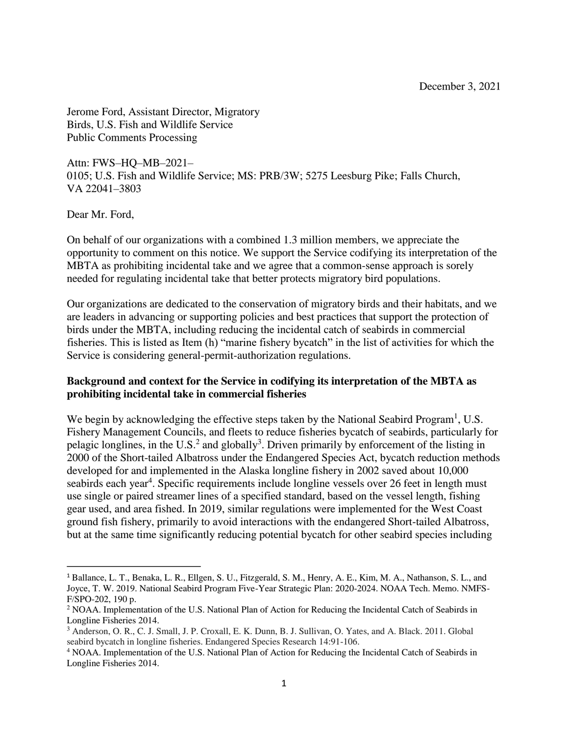Jerome Ford, Assistant Director, Migratory Birds, U.S. Fish and Wildlife Service Public Comments Processing

Attn: FWS–HQ–MB–2021– 0105; U.S. Fish and Wildlife Service; MS: PRB/3W; 5275 Leesburg Pike; Falls Church, VA 22041–3803

Dear Mr. Ford,

 $\overline{\phantom{a}}$ 

On behalf of our organizations with a combined 1.3 million members, we appreciate the opportunity to comment on this notice. We support the Service codifying its interpretation of the MBTA as prohibiting incidental take and we agree that a common-sense approach is sorely needed for regulating incidental take that better protects migratory bird populations.

Our organizations are dedicated to the conservation of migratory birds and their habitats, and we are leaders in advancing or supporting policies and best practices that support the protection of birds under the MBTA, including reducing the incidental catch of seabirds in commercial fisheries. This is listed as Item (h) "marine fishery bycatch" in the list of activities for which the Service is considering general-permit-authorization regulations.

## **Background and context for the Service in codifying its interpretation of the MBTA as prohibiting incidental take in commercial fisheries**

We begin by acknowledging the effective steps taken by the National Seabird Program<sup>1</sup>, U.S. Fishery Management Councils, and fleets to reduce fisheries bycatch of seabirds, particularly for pelagic longlines, in the U.S.<sup>2</sup> and globally<sup>3</sup>. Driven primarily by enforcement of the listing in 2000 of the Short-tailed Albatross under the Endangered Species Act, bycatch reduction methods developed for and implemented in the Alaska longline fishery in 2002 saved about 10,000 seabirds each year<sup>4</sup>. Specific requirements include longline vessels over 26 feet in length must use single or paired streamer lines of a specified standard, based on the vessel length, fishing gear used, and area fished. In 2019, similar regulations were implemented for the West Coast ground fish fishery, primarily to avoid interactions with the endangered Short-tailed Albatross, but at the same time significantly reducing potential bycatch for other seabird species including

<sup>&</sup>lt;sup>1</sup> Ballance, L. T., Benaka, L. R., Ellgen, S. U., Fitzgerald, S. M., Henry, A. E., Kim, M. A., Nathanson, S. L., and Joyce, T. W. 2019. National Seabird Program Five-Year Strategic Plan: 2020-2024. NOAA Tech. Memo. NMFS-F/SPO-202, 190 p.

<sup>2</sup> NOAA. Implementation of the U.S. National Plan of Action for Reducing the Incidental Catch of Seabirds in Longline Fisheries 2014.

<sup>3</sup> Anderson, O. R., C. J. Small, J. P. Croxall, E. K. Dunn, B. J. Sullivan, O. Yates, and A. Black. 2011. Global seabird bycatch in longline fisheries. Endangered Species Research 14:91-106.

<sup>4</sup> NOAA. Implementation of the U.S. National Plan of Action for Reducing the Incidental Catch of Seabirds in Longline Fisheries 2014.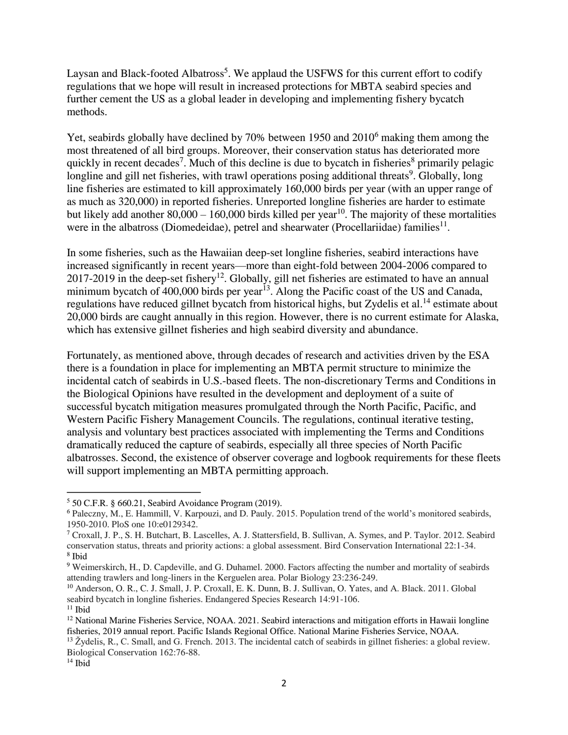Laysan and Black-footed Albatross<sup>5</sup>. We applaud the USFWS for this current effort to codify regulations that we hope will result in increased protections for MBTA seabird species and further cement the US as a global leader in developing and implementing fishery bycatch methods.

Yet, seabirds globally have declined by 70% between 1950 and 2010<sup>6</sup> making them among the most threatened of all bird groups. Moreover, their conservation status has deteriorated more quickly in recent decades<sup>7</sup>. Much of this decline is due to bycatch in fisheries<sup>8</sup> primarily pelagic longline and gill net fisheries, with trawl operations posing additional threats<sup>9</sup>. Globally, long line fisheries are estimated to kill approximately 160,000 birds per year (with an upper range of as much as 320,000) in reported fisheries. Unreported longline fisheries are harder to estimate but likely add another  $80,000 - 160,000$  birds killed per year<sup>10</sup>. The majority of these mortalities were in the albatross (Diomedeidae), petrel and shearwater (Procellariidae) families $^{11}$ .

In some fisheries, such as the Hawaiian deep-set longline fisheries, seabird interactions have increased significantly in recent years—more than eight-fold between 2004-2006 compared to 2017-2019 in the deep-set fishery<sup>12</sup>. Globally, gill net fisheries are estimated to have an annual minimum bycatch of 400,000 birds per year<sup>13</sup>. Along the Pacific coast of the US and Canada, regulations have reduced gillnet bycatch from historical highs, but Zydelis et al.<sup>14</sup> estimate about 20,000 birds are caught annually in this region. However, there is no current estimate for Alaska, which has extensive gillnet fisheries and high seabird diversity and abundance.

Fortunately, as mentioned above, through decades of research and activities driven by the ESA there is a foundation in place for implementing an MBTA permit structure to minimize the incidental catch of seabirds in U.S.-based fleets. The non-discretionary Terms and Conditions in the Biological Opinions have resulted in the development and deployment of a suite of successful bycatch mitigation measures promulgated through the North Pacific, Pacific, and Western Pacific Fishery Management Councils. The regulations, continual iterative testing, analysis and voluntary best practices associated with implementing the Terms and Conditions dramatically reduced the capture of seabirds, especially all three species of North Pacific albatrosses. Second, the existence of observer coverage and logbook requirements for these fleets will support implementing an MBTA permitting approach.

 $\overline{\phantom{a}}$ 

 $5$  50 C.F.R. § 660.21, Seabird Avoidance Program (2019).

<sup>6</sup> Paleczny, M., E. Hammill, V. Karpouzi, and D. Pauly. 2015. Population trend of the world's monitored seabirds, 1950-2010. PloS one 10:e0129342.

<sup>7</sup> Croxall, J. P., S. H. Butchart, B. Lascelles, A. J. Stattersfield, B. Sullivan, A. Symes, and P. Taylor. 2012. Seabird conservation status, threats and priority actions: a global assessment. Bird Conservation International 22:1-34. 8 Ibid

<sup>9</sup> Weimerskirch, H., D. Capdeville, and G. Duhamel. 2000. Factors affecting the number and mortality of seabirds attending trawlers and long-liners in the Kerguelen area. Polar Biology 23:236-249.

<sup>&</sup>lt;sup>10</sup> Anderson, O. R., C. J. Small, J. P. Croxall, E. K. Dunn, B. J. Sullivan, O. Yates, and A. Black. 2011. Global seabird bycatch in longline fisheries. Endangered Species Research 14:91-106.

 $11$  Ibid

<sup>&</sup>lt;sup>12</sup> National Marine Fisheries Service, NOAA. 2021. Seabird interactions and mitigation efforts in Hawaii longline fisheries, 2019 annual report. Pacific Islands Regional Office. National Marine Fisheries Service, NOAA.

 $13 \text{ Žydelis}, R., C. Small, and G. French. 2013. The incidental catch of seabirds in gillnet fisheries: a global review.$ Biological Conservation 162:76-88.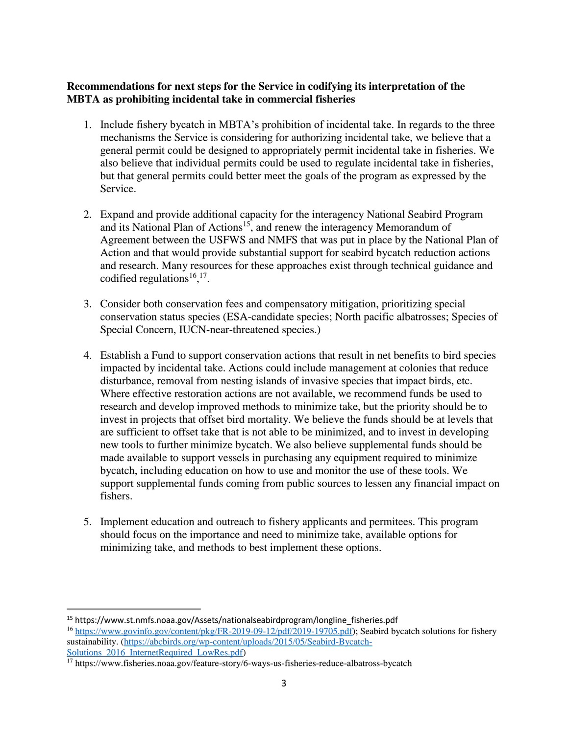## **Recommendations for next steps for the Service in codifying its interpretation of the MBTA as prohibiting incidental take in commercial fisheries**

- 1. Include fishery bycatch in MBTA's prohibition of incidental take. In regards to the three mechanisms the Service is considering for authorizing incidental take, we believe that a general permit could be designed to appropriately permit incidental take in fisheries. We also believe that individual permits could be used to regulate incidental take in fisheries, but that general permits could better meet the goals of the program as expressed by the Service.
- 2. Expand and provide additional capacity for the interagency National Seabird Program and its National Plan of Actions<sup>15</sup>, and renew the interagency Memorandum of Agreement between the USFWS and NMFS that was put in place by the National Plan of Action and that would provide substantial support for seabird bycatch reduction actions and research. Many resources for these approaches exist through technical guidance and codified regulations<sup>16,17</sup>.
- 3. Consider both conservation fees and compensatory mitigation, prioritizing special conservation status species (ESA-candidate species; North pacific albatrosses; Species of Special Concern, IUCN-near-threatened species.)
- 4. Establish a Fund to support conservation actions that result in net benefits to bird species impacted by incidental take. Actions could include management at colonies that reduce disturbance, removal from nesting islands of invasive species that impact birds, etc. Where effective restoration actions are not available, we recommend funds be used to research and develop improved methods to minimize take, but the priority should be to invest in projects that offset bird mortality. We believe the funds should be at levels that are sufficient to offset take that is not able to be minimized, and to invest in developing new tools to further minimize bycatch. We also believe supplemental funds should be made available to support vessels in purchasing any equipment required to minimize bycatch, including education on how to use and monitor the use of these tools. We support supplemental funds coming from public sources to lessen any financial impact on fishers.
- 5. Implement education and outreach to fishery applicants and permitees. This program should focus on the importance and need to minimize take, available options for minimizing take, and methods to best implement these options.

 $\overline{a}$ 

<sup>15</sup> https://www.st.nmfs.noaa.gov/Assets/nationalseabirdprogram/longline\_fisheries.pdf

<sup>&</sup>lt;sup>16</sup> [https://www.govinfo.gov/content/pkg/FR-2019-09-12/pdf/2019-19705.pdf\)](https://www.govinfo.gov/content/pkg/FR-2019-09-12/pdf/2019-19705.pdf); Seabird bycatch solutions for fishery sustainability. [\(https://abcbirds.org/wp-content/uploads/2015/05/Seabird-Bycatch-](https://abcbirds.org/wp-content/uploads/2015/05/Seabird-Bycatch-Solutions_2016_InternetRequired_LowRes.pdf)Solutions 2016 InternetRequired LowRes.pdf)

<sup>17</sup> https://www.fisheries.noaa.gov/feature-story/6-ways-us-fisheries-reduce-albatross-bycatch